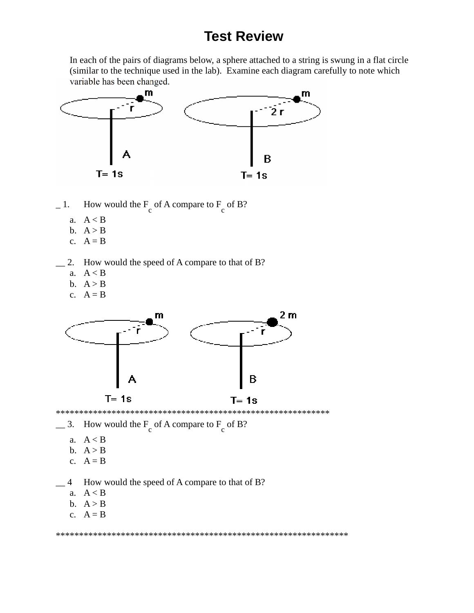## **Test Review**

In each of the pairs of diagrams below, a sphere attached to a string is swung in a flat circle (similar to the technique used in the lab). Examine each diagram carefully to note which variable has been changed.



- $-1.$  How would the  $F_c$  of A compare to  $F_c$  of B?
	- a. A < B
	- b.  $A > B$
	- c.  $A = B$
- 2. How would the speed of A compare to that of B?
	- a.  $A < B$
	- b.  $A > B$
	- c.  $A = B$



- $\equiv$  3. How would the F<sub>c</sub> of A compare to F<sub>c</sub> of B?
	- a. A < B
	- b.  $A > B$
	- c.  $A = B$

4 How would the speed of A compare to that of B?

- a. A < B
- b.  $A > B$
- c.  $A = B$

\*\*\*\*\*\*\*\*\*\*\*\*\*\*\*\*\*\*\*\*\*\*\*\*\*\*\*\*\*\*\*\*\*\*\*\*\*\*\*\*\*\*\*\*\*\*\*\*\*\*\*\*\*\*\*\*\*\*\*\*\*\*\*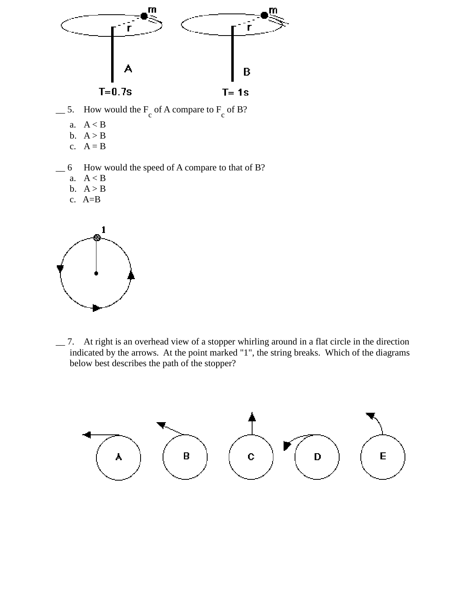

- $\equiv$  5. How would the  $F_c$  of A compare to  $F_c$  of B?
	- a. A < B
	- b.  $A > B$
	- c.  $A = B$
- \_\_ 6 How would the speed of A compare to that of B?
	- a. A < B
	- b.  $A > B$
	- c. A=B



\_\_ 7. At right is an overhead view of a stopper whirling around in a flat circle in the direction indicated by the arrows. At the point marked "1", the string breaks. Which of the diagrams below best describes the path of the stopper?

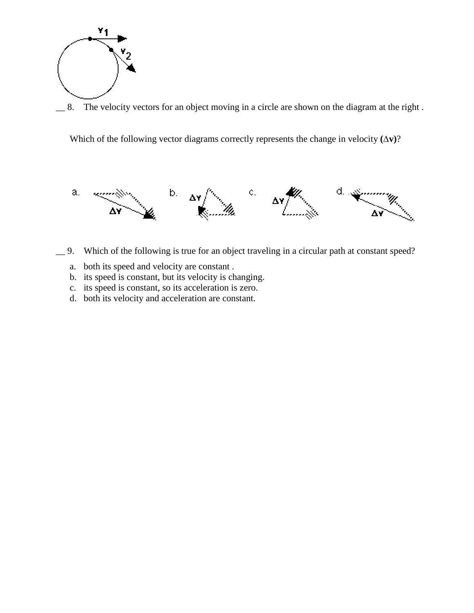

8. The velocity vectors for an object moving in a circle are shown on the diagram at the right.

Which of the following vector diagrams correctly represents the change in velocity **(∆v)**?



- \_\_ 9. Which of the following is true for an object traveling in a circular path at constant speed?
	- a. both its speed and velocity are constant .
	- b. its speed is constant, but its velocity is changing.
	- c. its speed is constant, so its acceleration is zero.
	- d. both its velocity and acceleration are constant.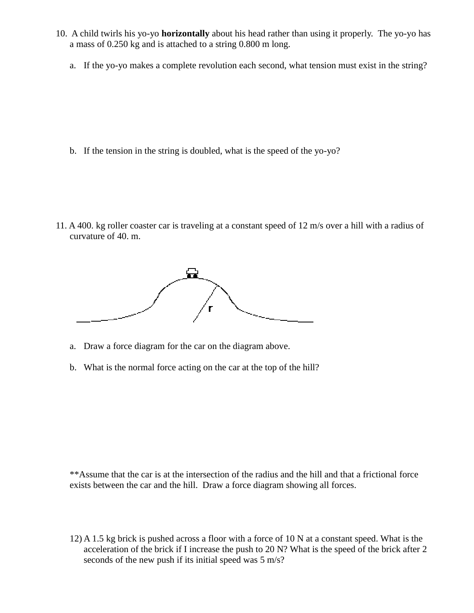- 10. A child twirls his yo-yo **horizontally** about his head rather than using it properly. The yo-yo has a mass of 0.250 kg and is attached to a string 0.800 m long.
	- a. If the yo-yo makes a complete revolution each second, what tension must exist in the string?

b. If the tension in the string is doubled, what is the speed of the yo-yo?

11. A 400. kg roller coaster car is traveling at a constant speed of 12 m/s over a hill with a radius of curvature of 40. m.



- a. Draw a force diagram for the car on the diagram above.
- b. What is the normal force acting on the car at the top of the hill?

\*\*Assume that the car is at the intersection of the radius and the hill and that a frictional force exists between the car and the hill. Draw a force diagram showing all forces.

12) A 1.5 kg brick is pushed across a floor with a force of 10 N at a constant speed. What is the acceleration of the brick if I increase the push to 20 N? What is the speed of the brick after 2 seconds of the new push if its initial speed was 5 m/s?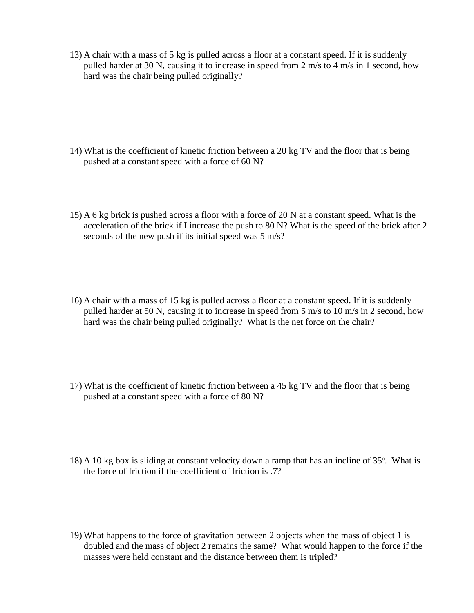13) A chair with a mass of 5 kg is pulled across a floor at a constant speed. If it is suddenly pulled harder at 30 N, causing it to increase in speed from 2 m/s to 4 m/s in 1 second, how hard was the chair being pulled originally?

- 14) What is the coefficient of kinetic friction between a 20 kg TV and the floor that is being pushed at a constant speed with a force of 60 N?
- 15) A 6 kg brick is pushed across a floor with a force of 20 N at a constant speed. What is the acceleration of the brick if I increase the push to 80 N? What is the speed of the brick after 2 seconds of the new push if its initial speed was 5 m/s?
- 16) A chair with a mass of 15 kg is pulled across a floor at a constant speed. If it is suddenly pulled harder at 50 N, causing it to increase in speed from 5 m/s to 10 m/s in 2 second, how hard was the chair being pulled originally? What is the net force on the chair?
- 17) What is the coefficient of kinetic friction between a 45 kg TV and the floor that is being pushed at a constant speed with a force of 80 N?
- 18) A 10 kg box is sliding at constant velocity down a ramp that has an incline of  $35^\circ$ . What is the force of friction if the coefficient of friction is .7?
- 19) What happens to the force of gravitation between 2 objects when the mass of object 1 is doubled and the mass of object 2 remains the same? What would happen to the force if the masses were held constant and the distance between them is tripled?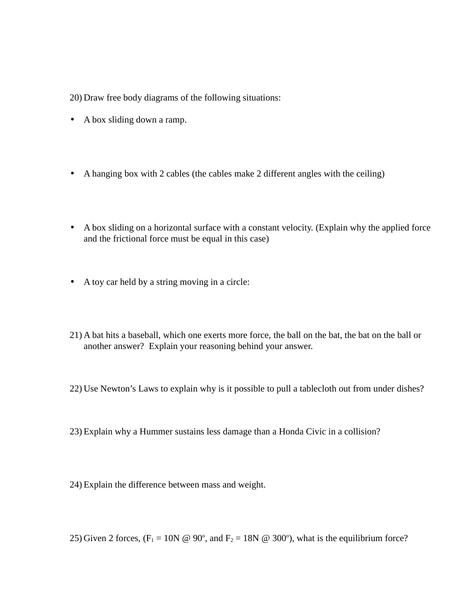20) Draw free body diagrams of the following situations:

- A box sliding down a ramp.
- A hanging box with 2 cables (the cables make 2 different angles with the ceiling)
- A box sliding on a horizontal surface with a constant velocity. (Explain why the applied force and the frictional force must be equal in this case)
- A toy car held by a string moving in a circle:
- 21) A bat hits a baseball, which one exerts more force, the ball on the bat, the bat on the ball or another answer? Explain your reasoning behind your answer.
- 22) Use Newton's Laws to explain why is it possible to pull a tablecloth out from under dishes?
- 23) Explain why a Hummer sustains less damage than a Honda Civic in a collision?
- 24) Explain the difference between mass and weight.
- 25) Given 2 forces,  $(F_1 = 10N \& 90^\circ, \text{ and } F_2 = 18N \& 300^\circ)$ , what is the equilibrium force?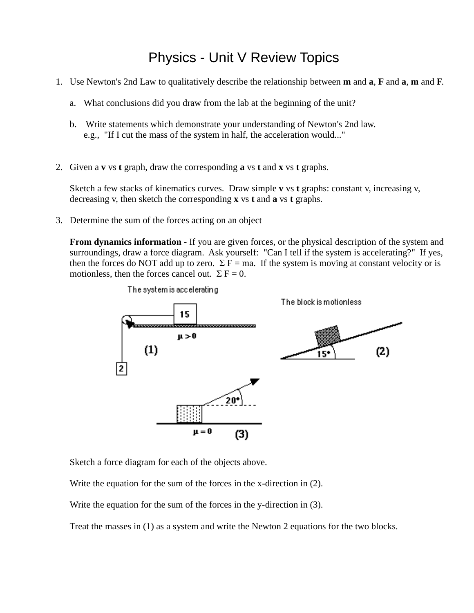## Physics - Unit V Review Topics

- 1. Use Newton's 2nd Law to qualitatively describe the relationship between **m** and **a**, **F** and **a**, **m** and **F**.
	- a. What conclusions did you draw from the lab at the beginning of the unit?
	- b. Write statements which demonstrate your understanding of Newton's 2nd law. e.g., "If I cut the mass of the system in half, the acceleration would..."
- 2. Given a **v** vs **t** graph, draw the corresponding **a** vs **t** and **x** vs **t** graphs.

Sketch a few stacks of kinematics curves. Draw simple **v** vs **t** graphs: constant v, increasing v, decreasing v, then sketch the corresponding **x** vs **t** and **a** vs **t** graphs.

3. Determine the sum of the forces acting on an object

**From dynamics information** - If you are given forces, or the physical description of the system and surroundings, draw a force diagram. Ask yourself: "Can I tell if the system is accelerating?" If yes, then the forces do NOT add up to zero.  $\Sigma$  F = ma. If the system is moving at constant velocity or is motionless, then the forces cancel out.  $\Sigma F = 0$ .



Sketch a force diagram for each of the objects above.

Write the equation for the sum of the forces in the x-direction in (2).

Write the equation for the sum of the forces in the y-direction in (3).

Treat the masses in (1) as a system and write the Newton 2 equations for the two blocks.